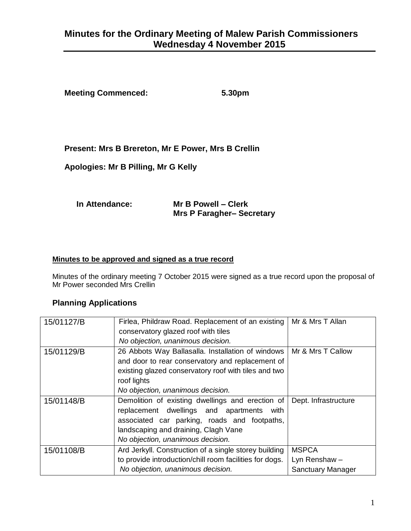# **Minutes for the Ordinary Meeting of Malew Parish Commissioners Wednesday 4 November 2015**

**Meeting Commenced: 5.30pm**

#### **Present: Mrs B Brereton, Mr E Power, Mrs B Crellin**

**Apologies: Mr B Pilling, Mr G Kelly** 

| In Attendance: | Mr B Powell - Clerk             |
|----------------|---------------------------------|
|                | <b>Mrs P Faragher-Secretary</b> |

#### **Minutes to be approved and signed as a true record**

Minutes of the ordinary meeting 7 October 2015 were signed as a true record upon the proposal of Mr Power seconded Mrs Crellin

#### **Planning Applications**

| 15/01127/B | Firlea, Phildraw Road. Replacement of an existing       | Mr & Mrs T Allan         |
|------------|---------------------------------------------------------|--------------------------|
|            | conservatory glazed roof with tiles                     |                          |
|            | No objection, unanimous decision.                       |                          |
| 15/01129/B | 26 Abbots Way Ballasalla. Installation of windows       | Mr & Mrs T Callow        |
|            | and door to rear conservatory and replacement of        |                          |
|            | existing glazed conservatory roof with tiles and two    |                          |
|            | roof lights                                             |                          |
|            | No objection, unanimous decision.                       |                          |
| 15/01148/B | Demolition of existing dwellings and erection of        | Dept. Infrastructure     |
|            | replacement dwellings and apartments<br>with            |                          |
|            | associated car parking, roads and footpaths,            |                          |
|            | landscaping and draining, Clagh Vane                    |                          |
|            | No objection, unanimous decision.                       |                          |
| 15/01108/B | Ard Jerkyll. Construction of a single storey building   | <b>MSPCA</b>             |
|            | to provide introduction/chill room facilities for dogs. | Lyn Renshaw-             |
|            | No objection, unanimous decision.                       | <b>Sanctuary Manager</b> |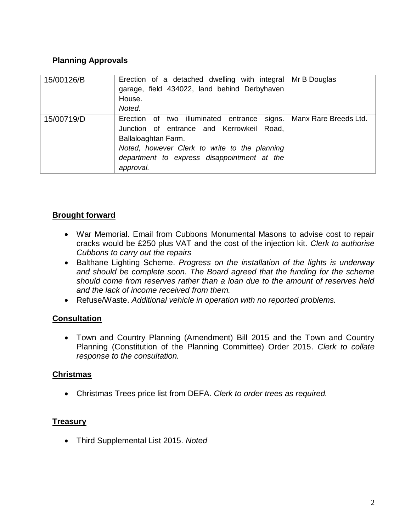## **Planning Approvals**

| 15/00126/B | Erection of a detached dwelling with integral   Mr B Douglas<br>garage, field 434022, land behind Derbyhaven<br>House.<br>Noted.                                                                                             |                       |
|------------|------------------------------------------------------------------------------------------------------------------------------------------------------------------------------------------------------------------------------|-----------------------|
| 15/00719/D | Erection of two illuminated entrance signs.<br>Junction of entrance and Kerrowkeil Road,<br>Ballaloaghtan Farm.<br>Noted, however Clerk to write to the planning<br>department to express disappointment at the<br>approval. | Manx Rare Breeds Ltd. |

# **Brought forward**

- War Memorial. Email from Cubbons Monumental Masons to advise cost to repair cracks would be £250 plus VAT and the cost of the injection kit. *Clerk to authorise Cubbons to carry out the repairs*
- Balthane Lighting Scheme. *Progress on the installation of the lights is underway and should be complete soon. The Board agreed that the funding for the scheme should come from reserves rather than a loan due to the amount of reserves held and the lack of income received from them.*
- Refuse/Waste. *Additional vehicle in operation with no reported problems.*

# **Consultation**

 Town and Country Planning (Amendment) Bill 2015 and the Town and Country Planning (Constitution of the Planning Committee) Order 2015. *Clerk to collate response to the consultation.* 

#### **Christmas**

Christmas Trees price list from DEFA. *Clerk to order trees as required.*

#### **Treasury**

Third Supplemental List 2015. *Noted*